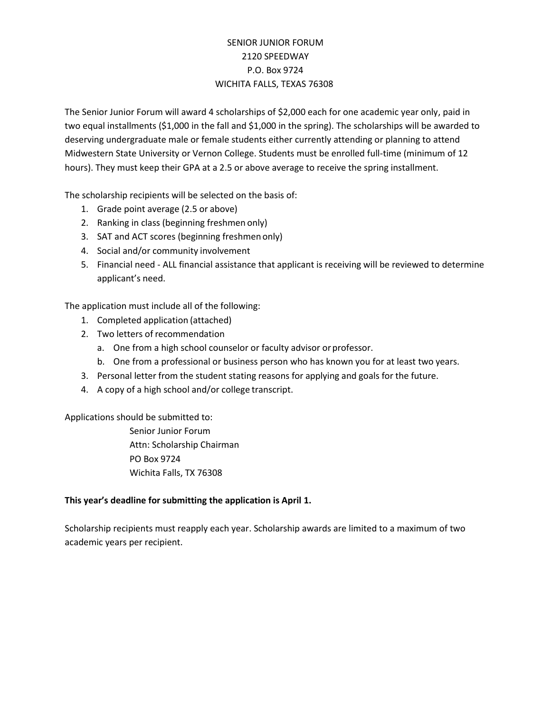## SENIOR JUNIOR FORUM 2120 SPEEDWAY P.O. Box 9724 WICHITA FALLS, TEXAS 76308

The Senior Junior Forum will award 4 scholarships of \$2,000 each for one academic year only, paid in two equal installments (\$1,000 in the fall and \$1,000 in the spring). The scholarships will be awarded to deserving undergraduate male or female students either currently attending or planning to attend Midwestern State University or Vernon College. Students must be enrolled full-time (minimum of 12 hours). They must keep their GPA at a 2.5 or above average to receive the spring installment.

The scholarship recipients will be selected on the basis of:

- 1. Grade point average (2.5 or above)
- 2. Ranking in class (beginning freshmen only)
- 3. SAT and ACT scores (beginning freshmen only)
- 4. Social and/or community involvement
- 5. Financial need ALL financial assistance that applicant is receiving will be reviewed to determine applicant's need.

The application must include all of the following:

- 1. Completed application (attached)
- 2. Two letters of recommendation
	- a. One from a high school counselor or faculty advisor or professor.
	- b. One from a professional or business person who has known you for at least two years.
- 3. Personal letter from the student stating reasons for applying and goals for the future.
- 4. A copy of a high school and/or college transcript.

Applications should be submitted to:

Senior Junior Forum Attn: Scholarship Chairman PO Box 9724 Wichita Falls, TX 76308

## **This year's deadline for submitting the application is April 1.**

Scholarship recipients must reapply each year. Scholarship awards are limited to a maximum of two academic years per recipient.